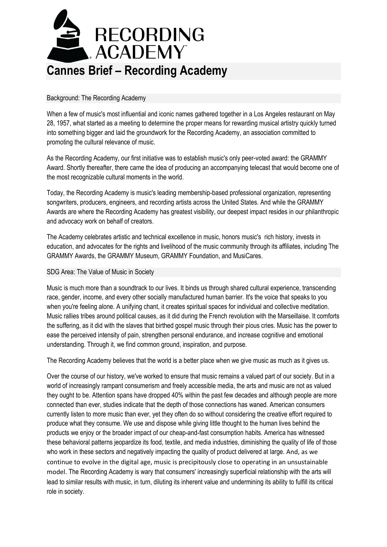

## Background: The Recording Academy

When a few of music's most influential and iconic names gathered together in a Los Angeles restaurant on May 28, 1957, what started as a meeting to determine the proper means for rewarding musical artistry quickly turned into something bigger and laid the groundwork for the Recording Academy, an association committed to promoting the cultural relevance of music.

As the Recording Academy, our first initiative was to establish music's only peer-voted award: the GRAMMY Award. Shortly thereafter, there came the idea of producing an accompanying telecast that would become one of the most recognizable cultural moments in the world.

Today, the Recording Academy is music's leading membership-based professional organization, representing songwriters, producers, engineers, and recording artists across the United States. And while the GRAMMY Awards are where the Recording Academy has greatest visibility, our deepest impact resides in our philanthropic and advocacy work on behalf of creators.

The Academy celebrates artistic and technical excellence in music, honors music's rich history, invests in education, and advocates for the rights and livelihood of the music community through its affiliates, including The GRAMMY Awards, the GRAMMY Museum, GRAMMY Foundation, and MusiCares.

### SDG Area: The Value of Music in Society

Music is much more than a soundtrack to our lives. It binds us through shared cultural experience, transcending race, gender, income, and every other socially manufactured human barrier. It's the voice that speaks to you when you're feeling alone. A unifying chant, it creates spiritual spaces for individual and collective meditation. Music rallies tribes around political causes, as it did during the French revolution with the Marseillaise. It comforts the suffering, as it did with the slaves that birthed gospel music through their pious cries. Music has the power to ease the perceived intensity of pain, strengthen personal endurance, and increase cognitive and emotional understanding. Through it, we find common ground, inspiration, and purpose.

The Recording Academy believes that the world is a better place when we give music as much as it gives us.

Over the course of our history, we've worked to ensure that music remains a valued part of our society. But in a world of increasingly rampant consumerism and freely accessible media, the arts and music are not as valued they ought to be. Attention spans have dropped 40% within the past few decades and although people are more connected than ever, studies indicate that the depth of those connections has waned. American consumers currently listen to more music than ever, yet they often do so without considering the creative effort required to produce what they consume. We use and dispose while giving little thought to the human lives behind the products we enjoy or the broader impact of our cheap-and-fast consumption habits. America has witnessed these behavioral patterns jeopardize its food, textile, and media industries, diminishing the quality of life of those who work in these sectors and negatively impacting the quality of product delivered at large. And, as we continue to evolve in the digital age, music is precipitously close to operating in an unsustainable model. The Recording Academy is wary that consumers' increasingly superficial relationship with the arts will lead to similar results with music, in turn, diluting its inherent value and undermining its ability to fulfill its critical role in society.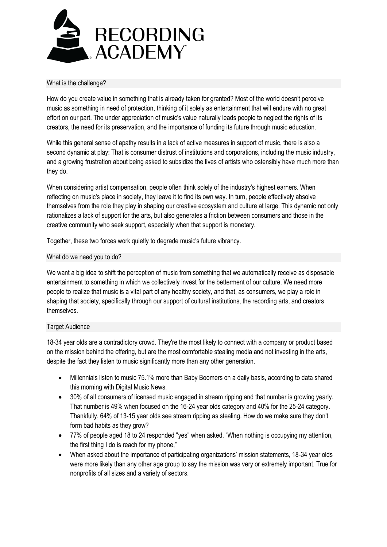

# What is the challenge?

How do you create value in something that is already taken for granted? Most of the world doesn't perceive music as something in need of protection, thinking of it solely as entertainment that will endure with no great effort on our part. The under appreciation of music's value naturally leads people to neglect the rights of its creators, the need for its preservation, and the importance of funding its future through music education.

While this general sense of apathy results in a lack of active measures in support of music, there is also a second dynamic at play: That is consumer distrust of institutions and corporations, including the music industry, and a growing frustration about being asked to subsidize the lives of artists who ostensibly have much more than they do.

When considering artist compensation, people often think solely of the industry's highest earners. When reflecting on music's place in society, they leave it to find its own way. In turn, people effectively absolve themselves from the role they play in shaping our creative ecosystem and culture at large. This dynamic not only rationalizes a lack of support for the arts, but also generates a friction between consumers and those in the creative community who seek support, especially when that support is monetary.

Together, these two forces work quietly to degrade music's future vibrancy.

#### What do we need you to do?

We want a big idea to shift the perception of music from something that we automatically receive as disposable entertainment to something in which we collectively invest for the betterment of our culture. We need more people to realize that music is a vital part of any healthy society, and that, as consumers, we play a role in shaping that society, specifically through our support of cultural institutions, the recording arts, and creators themselves.

### Target Audience

18-34 year olds are a contradictory crowd. They're the most likely to connect with a company or product based on the mission behind the offering, but are the most comfortable stealing media and not investing in the arts, despite the fact they listen to music significantly more than any other generation.

- Millennials listen to music 75.1% more than Baby Boomers on a daily basis, according to data shared this morning with Digital Music News.
- 30% of all consumers of licensed music engaged in stream ripping and that number is growing yearly. That number is 49% when focused on the 16-24 year olds category and 40% for the 25-24 category. Thankfully, 64% of 13-15 year olds see stream ripping as stealing. How do we make sure they don't form bad habits as they grow?
- 77% of people aged 18 to 24 responded "yes" when asked, "When nothing is occupying my attention, the first thing I do is reach for my phone,"
- When asked about the importance of participating organizations' mission statements, 18-34 year olds were more likely than any other age group to say the mission was very or extremely important. True for nonprofits of all sizes and a variety of sectors.